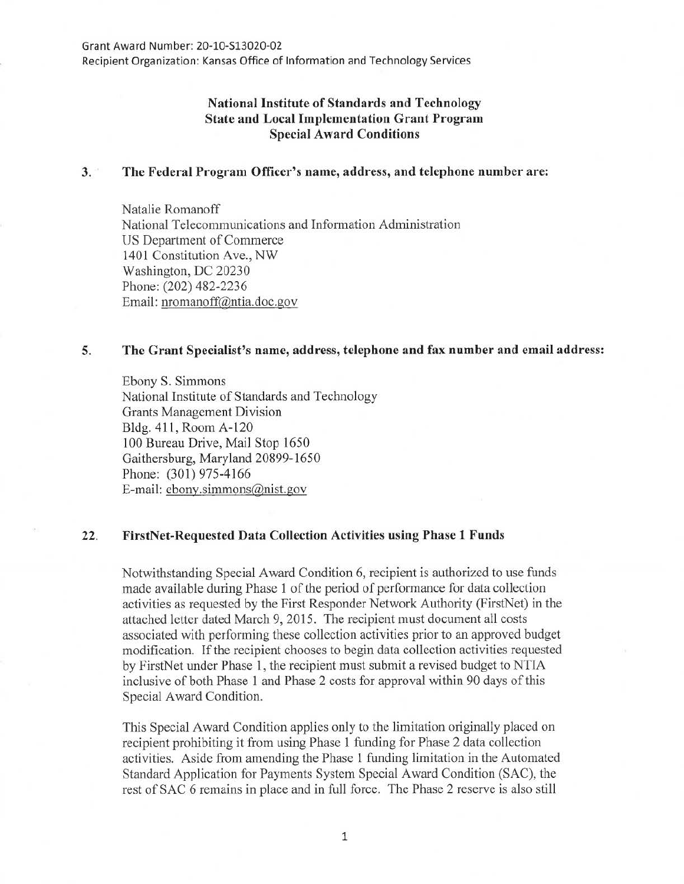Recipient Organization: Kansas Office of Information and Technology Services

# **National Institute of Standards and Technology State and Local Implementation Grant Program Special Award Conditions**

### **3. The Federal Program Officer's name, address, and telephone number are:**

Natalie Romanoff National Telecommunications and Information Administration US Department of Commerce 1401 Constitution Ave., NW Washington, DC 20230 Phone: (202) 482-2236 Email: nromanoff@ntia.doc.gov

### **5. The Grant Specialist's name, address, telephone and fax number and email address:**

Ebony S. Simmons National Institute of Standards and Technology Grants Management Division Bldg. **411,** Room A-120 I 00 Bureau Drive, Mail Stop 1650 Gaithersburg, Maryland 20899-1650 Phone: (301) 975-4166 E-mail: ebony.simmons@nist.gov

### 22. **FirstNet-Requested Data Collection Activities using Phase 1 Funds**

Notwithstanding Special Award Condition 6, recipient is authorized to use funds made available during Phase 1 of the period of performance for data collection activities as requested by the First Responder Network Authority (FirstNet) in the attached letter dated March 9, 2015. The recipient must document all costs associated with performing these collection activities prior to an approved budget modification. If the recipient chooses to begin data collection activities requested by FirstNet under Phase 1, the recipient must submit a revised budget to NTIA inclusive of both Phase 1 and Phase 2 costs for approval within 90 days of this Special Award Condition.

This Special Award Condition applies only to the limitation originally placed on recipient prohibiting it from using Phase 1 funding for Phase 2 data collection activities. Aside from amending the Phase 1 funding limitation in the Automated Standard Application for Payments System Special Award Condition (SAC), the rest of SAC 6 remains in place and **in** full force. The Phase 2 reserve is also still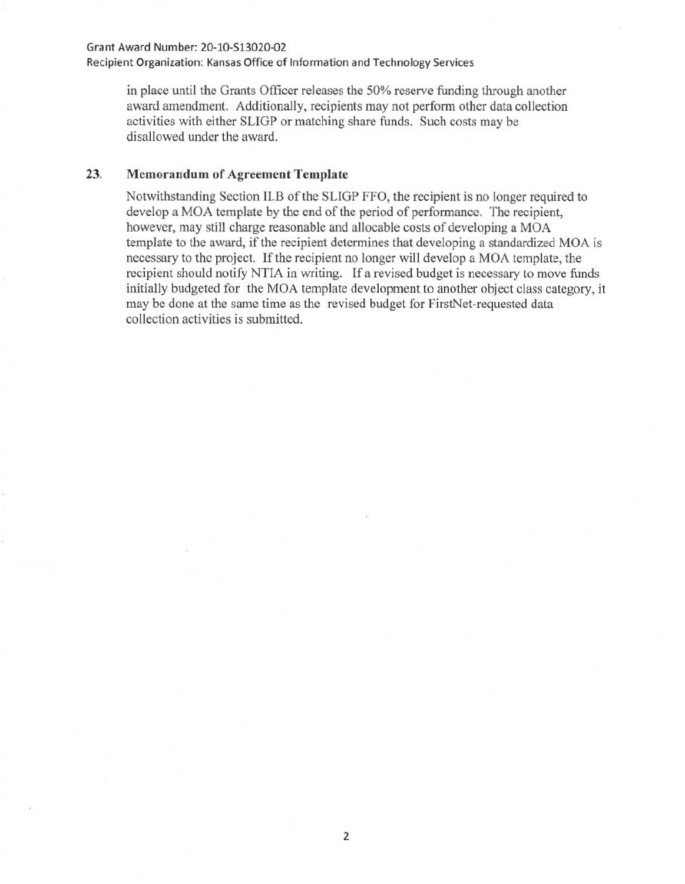#### Grant Award Number: 20-10-513020-02

Recipient Organization: Kansas Office of Information and Technology Services

in place until the Grants Officer releases the 50% reserve funding through another award amendment. Additionally, recipients may not perform other data collection activities with either SLIGP or matching share funds. Such costs may be disallowed under the award.

## 23. Memorandum of Agreement Template

Notwithstanding Section ll.B of the SLIGP FFO, the recipient is no longer required to develop a MOA template by the end of the period of performance. The recipient, however, may still charge reasonable and allocable costs of developing a MOA template to the award, if the recipient determines that developing a standardized MOA is necessary to the project. If the recipient no longer will develop a MOA template, the recipient should notify NTIA in writing. If a revised budget is necessary to move funds initially budgeted for the MOA template development to another object class category, it may be done at the same time as the revised budget for FirstNet-requested data collection activities is submitted.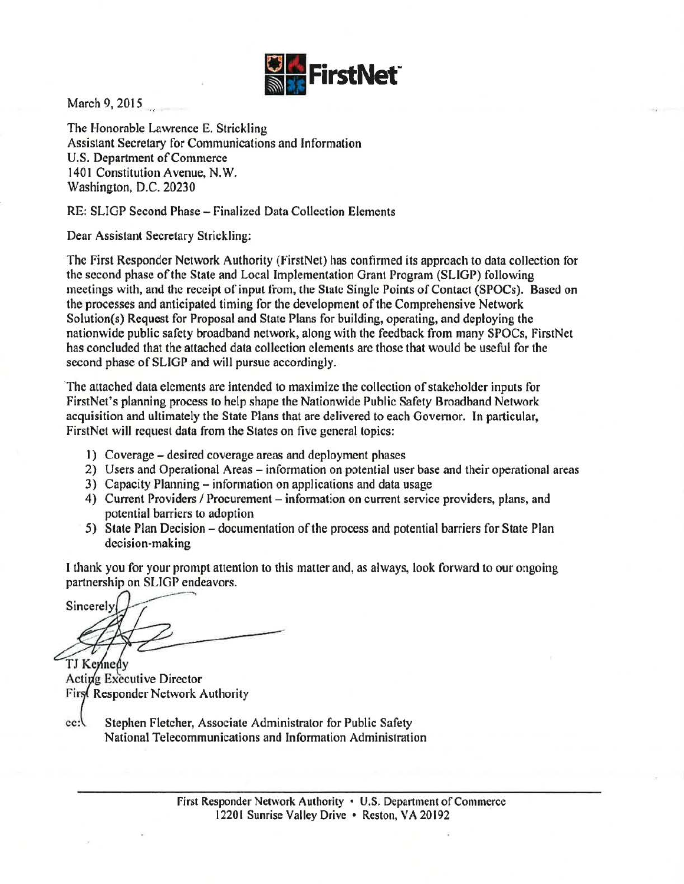

March 9, 2015

The Honorable Lawrence E. Strickling Assistant Secretary for Communications and Information U.S. Department of Commerce 1401 Constitution Avenue, N.W. Washington, D.C. 20230

RE: SLIGP Second Phase- Finalized Data Collection Elements

Dear Assistant Secretary Strickling:

The First Responder Network Authority (firstNet) has confirmed its approach to data collection for the second phase of the State and Local Implementation Grant Program (SLIGP) following meetings with, and the receipt of input from, the State Single Points of Contact (SPOCs). Based on the processes and anticipated timing for the development of the Comprehensive Network Solution(s) Request for Proposal and State Plans for building, operating, and deploying the nationwide public safety broadband network, along with the feedback from many SPOCs, FirstNet has concluded that the attached data collection elements are those that would be useful for the second phase of SLIGP and will pursue accordingly.

The attached data elements are intended to maximize the collection of stakeholder inputs for FirstNet's planning process to help shape the Nationwide Public Safety Broadband Network acquisition and ultimately the State Plans that are delivered to each Governor. In particular, FirstNet will request data from the States on five general topics:

- 1) Coverage- desired coverage areas and deployment phases
- 2) Users and Operational Areas information on potential user base and their operational areas
- 3) Capacity Planning- information on applications and data usage
- 4) Current Providers / Procurement information on current service providers, plans, and potential barriers to adoption
- 5) State Plan Decision- documentation of the process and potential barriers for State Plan decision-making

I thank you for your prompt attention to this matter and, as always, look forward to our ongoing partnership on SLIGP endeavors.

Sincerely

TJ Kennedy Acting Executive Director First Responder Network Authority

Stephen Fletcher, Associate Administrator for Public Safety  $cc:$ National Telecommunications and Information Administration